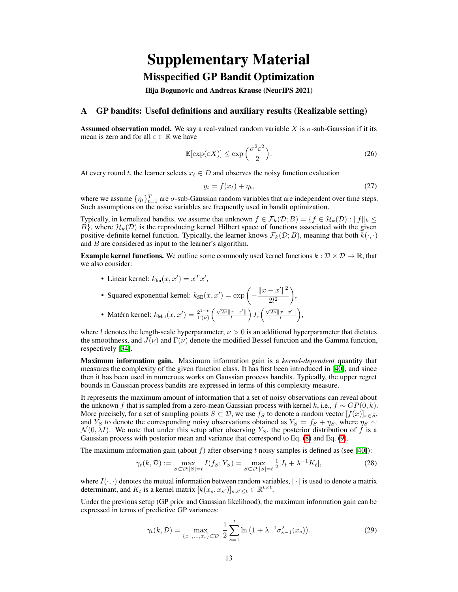# Supplementary Material

## Misspecified GP Bandit Optimization

<span id="page-0-23"></span><span id="page-0-13"></span>Ilija Bogunovic and Andreas Krause (NeurIPS 2021)

#### <span id="page-0-22"></span>A GP bandits: Useful definitions and auxiliary results (Realizable setting)

<span id="page-0-25"></span><span id="page-0-1"></span>**Assumed observation model.** We say a real-valued random variable X is  $\sigma$ -sub-Gaussian if it its mean is zero and for all  $\varepsilon \in \mathbb{R}$  we have

<span id="page-0-10"></span>
$$
\mathbb{E}[\exp(\varepsilon X)] \le \exp\left(\frac{\sigma^2 \varepsilon^2}{2}\right). \tag{26}
$$

At every round *t*, the learner selects  $x_t \in D$  and observes the noisy function evaluation

<span id="page-0-21"></span>
$$
y_t = f(x_t) + \eta_t,\tag{27}
$$

<span id="page-0-28"></span><span id="page-0-24"></span><span id="page-0-20"></span><span id="page-0-18"></span><span id="page-0-4"></span><span id="page-0-3"></span><span id="page-0-2"></span>,

<span id="page-0-12"></span><span id="page-0-11"></span><span id="page-0-7"></span>where we assume  $\{\eta_t\}_{t=1}^T$  are  $\sigma$ -sub-Gaussian random variables that are independent over time steps. Such assumptions on the noise variables are frequently used in bandit optimization.

Typically, in kernelized bandits, we assume that unknown  $f \in \mathcal{F}_k(\mathcal{D}; B) = \{f \in \mathcal{H}_k(\mathcal{D}) : ||f||_k \leq \epsilon \}$  $B$ <sup>}</sup>, where  $\mathcal{H}_k(\mathcal{D})$  is the reproducing kernel Hilbert space of functions associated with the given positive-definite kernel function. Typically, the learner knows  $\mathcal{F}_k(\mathcal{D};B)$ , meaning that both  $k(\cdot, \cdot)$ and *B* are considered as input to the learner's algorithm.

<span id="page-0-14"></span>**Example kernel functions.** We outline some commonly used kernel functions  $k : \mathcal{D} \times \mathcal{D} \to \mathbb{R}$ , that we also consider:

• Linear kernel:  $k_{\text{lin}}(x, x') = x^T x'$ ,

<span id="page-0-19"></span><span id="page-0-8"></span>\n- Squared exponential kernel: 
$$
k_{\text{SE}}(x, x') = \exp\left(-\frac{\|x - x'\|^2}{2l^2}\right),
$$
\n- Matérn kernel:  $k_{\text{Mat}}(x, x') = \frac{2^{1-\nu}}{\Gamma(\nu)} \left(\frac{\sqrt{2\nu} \|x - x'\|}{l}\right) J_{\nu}\left(\frac{\sqrt{2\nu} \|x - x'\|}{l}\right)$
\n

where *l* denotes the length-scale hyperparameter,  $\nu > 0$  is an additional hyperparameter that dictates the smoothness, and  $J(\nu)$  and  $\Gamma(\nu)$  denote the modified Bessel function and the Gamma function, respectively [\[34\]](#page-0-0).

Maximum information gain. Maximum information gain is a *kernel-dependent* quantity that measures the complexity of the given function class. It has first been introduced in  $[40]$ , and since then it has been used in numerous works on Gaussian process bandits. Typically, the upper regret bounds in Gaussian process bandits are expressed in terms of this complexity measure.

<span id="page-0-26"></span><span id="page-0-6"></span><span id="page-0-5"></span>It represents the maximum amount of information that a set of noisy observations can reveal about the unknown *f* that is sampled from a zero-mean Gaussian process with kernel *k*, i.e.,  $f \sim GP(0, k)$ . More precisely, for a set of sampling points  $S \subset \mathcal{D}$ , we use  $f_S$  to denote a random vector  $[f(x)]_{x \in S}$ , and  $Y_S$  to denote the corresponding noisy observations obtained as  $Y_S = f_S + \eta_S$ , where  $\eta_S \sim$  $\mathcal{N}(0, \lambda I)$ . We note that under this setup after observing  $Y_s$ , the posterior distribution of f is a Gaussian process with posterior mean and variance that correspond to Eq.  $\mathcal{B}$  and Eq.  $\mathcal{P}$ .

<span id="page-0-27"></span><span id="page-0-16"></span>The maximum information gain (about  $f$ ) after observing  $t$  noisy samples is defined as (see  $[40]$ ):

$$
\gamma_t(k,\mathcal{D}) := \max_{S \subset \mathcal{D}:|S|=t} I(f_S; Y_S) = \max_{S \subset \mathcal{D}:|S|=t} \frac{1}{2} |I_t + \lambda^{-1} K_t|,
$$
\n(28)

<span id="page-0-0"></span>where  $I(\cdot, \cdot)$  denotes the mutual information between random variables,  $|\cdot|$  is used to denote a matrix determinant, and  $K_t$  is a kernel matrix  $[k(x_s, x_{s'})]_{s, s' \leq t} \in \mathbb{R}^{t \times t}$ .

<span id="page-0-17"></span><span id="page-0-15"></span>Under the previous setup (GP prior and Gaussian likelihood), the maximum information gain can be expressed in terms of predictive GP variances:

<span id="page-0-9"></span>
$$
\gamma_t(k,\mathcal{D}) = \max_{\{x_1,\dots,x_t\} \subset \mathcal{D}} \frac{1}{2} \sum_{s=1}^t \ln\left(1 + \lambda^{-1} \sigma_{s-1}^2(x_s)\right). \tag{29}
$$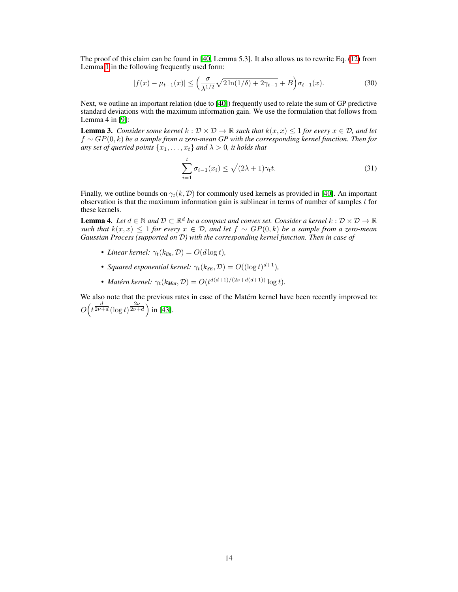The proof of this claim can be found in  $[40]$ . Lemma 5.3]. It also allows us to rewrite Eq.  $(12)$  from Lemma  $\overline{1}$  in the following frequently used form:

<span id="page-1-1"></span>
$$
|f(x) - \mu_{t-1}(x)| \le \left(\frac{\sigma}{\lambda^{1/2}}\sqrt{2\ln(1/\delta) + 2\gamma_{t-1}} + B\right)\sigma_{t-1}(x). \tag{30}
$$

Next, we outline an important relation (due to [\[40\]](#page-0-1)) frequently used to relate the sum of GP predictive standard deviations with the maximum information gain. We use the formulation that follows from Lemma 4 in  $[9]$ :

<span id="page-1-2"></span>**Lemma 3.** *Consider some kernel*  $k : \mathcal{D} \times \mathcal{D} \to \mathbb{R}$  *such that*  $k(x, x) \leq 1$  *for every*  $x \in \mathcal{D}$ *, and let*  $f \sim GP(0, k)$  *be a sample from a zero-mean GP with the corresponding kernel function. Then for any set of queried points*  $\{x_1, \ldots, x_t\}$  *and*  $\lambda > 0$ *, it holds that* 

<span id="page-1-0"></span>
$$
\sum_{i=1}^{t} \sigma_{i-1}(x_i) \le \sqrt{(2\lambda+1)\gamma_t t}.
$$
\n(31)

Finally, we outline bounds on  $\gamma_t(k, \mathcal{D})$  for commonly used kernels as provided in  $[40]$ . An important observation is that the maximum information gain is sublinear in terms of number of samples *t* for these kernels.

**Lemma 4.** Let  $d \in \mathbb{N}$  and  $\mathcal{D} \subset \mathbb{R}^d$  be a compact and convex set. Consider a kernel  $k : \mathcal{D} \times \mathcal{D} \to \mathbb{R}$  $\frac{1}{2}$  *such that*  $k(x, x) \leq 1$  *for every*  $x \in \mathcal{D}$ *, and let*  $f \sim GP(0, k)$  *be a sample from a zero-mean Gaussian Process (supported on D) with the corresponding kernel function. Then in case of*

- *Linear kernel:*  $\gamma_t(k_{lin}, \mathcal{D}) = O(d \log t)$ *,*
- *Squared exponential kernel:*  $\gamma_t(k_{SE}, \mathcal{D}) = O((\log t)^{d+1})$ *,*
- *Matérn kernel:*  $\gamma_t(k_{Mat}, \mathcal{D}) = O(t^{d(d+1)/(2\nu + d(d+1))} \log t)$ .

We also note that the previous rates in case of the Matérn kernel have been recently improved to:  $O(t^{\frac{d}{2\nu+d}}(\log t)^{\frac{2\nu}{2\nu+d}})$  in [\[43\]](#page-0-7).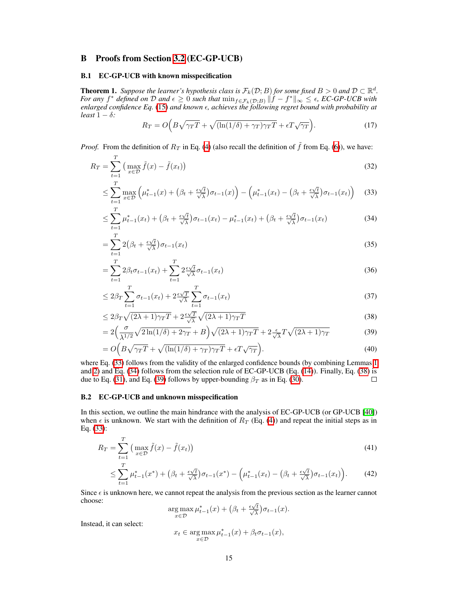## B Proofs from Section [3.2](#page-0-8) (EC-GP-UCB)

## B.1 EC-GP-UCB with known misspecification

 $\overline{T}$ 

**Theorem 1.** Suppose the learner's hypothesis class is  $\mathcal{F}_k(\mathcal{D};B)$  for some fixed  $B > 0$  and  $\mathcal{D} \subset \mathbb{R}^d$ . For any  $f^*$  defined on  $D$  and  $\epsilon \geq 0$  such that  $\min_{f \in \mathcal{F}_k(\mathcal{D};B)} ||f - f^*||_{\infty} \leq \epsilon$ , EC-GP-UCB with enlarged confidence Eq. [\(15\)](#page-0-9) and known  $\epsilon$ , achieves the following regret bound with probability at *least*  $1 - \delta$ *:* 

<span id="page-2-1"></span><span id="page-2-0"></span>
$$
R_T = O\left(B\sqrt{\gamma_T T} + \sqrt{(\ln(1/\delta) + \gamma_T)\gamma_T T} + \epsilon T \sqrt{\gamma_T}\right).
$$
\n(17)

*Proof.* From the definition of  $R_T$  in Eq. [\(4\)](#page-0-10) (also recall the definition of  $\tilde{f}$  from Eq. [\(6\)](#page-0-11)), we have:

$$
R_T = \sum_{t=1}^{T} \left( \max_{x \in \mathcal{D}} \tilde{f}(x) - \tilde{f}(x_t) \right)
$$
 (32)

$$
\leq \sum_{t=1}^{T} \max_{x \in \mathcal{D}} \left( \mu_{t-1}^*(x) + \left( \beta_t + \frac{\epsilon \sqrt{t}}{\sqrt{\lambda}} \right) \sigma_{t-1}(x) \right) - \left( \mu_{t-1}^*(x_t) - \left( \beta_t + \frac{\epsilon \sqrt{t}}{\sqrt{\lambda}} \right) \sigma_{t-1}(x_t) \right) \tag{33}
$$

$$
\leq \sum_{t=1}^{T} \mu_{t-1}^*(x_t) + \left(\beta_t + \frac{\epsilon \sqrt{t}}{\sqrt{\lambda}}\right)\sigma_{t-1}(x_t) - \mu_{t-1}^*(x_t) + \left(\beta_t + \frac{\epsilon \sqrt{t}}{\sqrt{\lambda}}\right)\sigma_{t-1}(x_t) \tag{34}
$$

$$
=\sum_{t=1}^{T} 2\left(\beta_t + \frac{\epsilon \sqrt{t}}{\sqrt{\lambda}}\right) \sigma_{t-1}(x_t)
$$
\n(35)

$$
= \sum_{t=1}^{T} 2\beta_t \sigma_{t-1}(x_t) + \sum_{t=1}^{T} 2 \frac{\epsilon \sqrt{t}}{\sqrt{\lambda}} \sigma_{t-1}(x_t)
$$
\n(36)

$$
\leq 2\beta_T \sum_{t=1}^T \sigma_{t-1}(x_t) + 2 \frac{\epsilon \sqrt{T}}{\sqrt{\lambda}} \sum_{t=1}^T \sigma_{t-1}(x_t)
$$
\n(37)

<span id="page-2-2"></span>
$$
\leq 2\beta_T\sqrt{(2\lambda+1)\gamma_T T} + 2\frac{\epsilon\sqrt{T}}{\sqrt{\lambda}}\sqrt{(2\lambda+1)\gamma_T T}
$$
\n(38)

<span id="page-2-3"></span>
$$
=2\left(\frac{\sigma}{\lambda^{1/2}}\sqrt{2\ln(1/\delta)+2\gamma_T}+B\right)\sqrt{(2\lambda+1)\gamma_T T}+2\frac{\epsilon}{\sqrt{\lambda}}T\sqrt{(2\lambda+1)\gamma_T}
$$
(39)

$$
= O\Big(B\sqrt{\gamma_T T} + \sqrt{(\ln(1/\delta) + \gamma_T)\gamma_T T} + \epsilon T \sqrt{\gamma_T}\Big). \tag{40}
$$

where Eq.  $(33)$  follows from the validity of the enlarged confidence bounds (by combining Lemmas  $\boxed{1}$ and  $\overline{2}$ ) and  $\overline{Eq}$ . [\(34\)](#page-2-1) follows from the selection rule of EC-GP-UCB (Eq. [\(14\)](#page-0-13)). Finally, Eq. [\(38\)](#page-2-2) is due to Eq. (31), and Eq. (39) follows by upper-bounding  $\beta_T$  as in Eq. (30). due to Eq. [\(31\)](#page-1-0), and Eq. [\(39\)](#page-2-3) follows by upper-bounding  $\beta_T$  as in Eq. [\(30\)](#page-1-1).

#### B.2 EC-GP-UCB and unknown misspecification

In this section, we outline the main hindrance with the analysis of EC-GP-UCB (or GP-UCB [\[40\]](#page-0-1)) when  $\epsilon$  is unknown. We start with the definition of  $R_T$  (Eq.  $\left(\frac{1}{4}\right)$ ) and repeat the initial steps as in Eq. [\(33\)](#page-2-0):

$$
R_T = \sum_{t=1}^T \left( \max_{x \in \mathcal{D}} \tilde{f}(x) - \tilde{f}(x_t) \right)
$$
(41)

$$
\leq \sum_{t=1}^{I} \mu_{t-1}^*(x^*) + \left(\beta_t + \frac{\epsilon \sqrt{t}}{\sqrt{\lambda}}\right)\sigma_{t-1}(x^*) - \left(\mu_{t-1}^*(x_t) - \left(\beta_t + \frac{\epsilon \sqrt{t}}{\sqrt{\lambda}}\right)\sigma_{t-1}(x_t)\right). \tag{42}
$$

Since  $\epsilon$  is unknown here, we cannot repeat the analysis from the previous section as the learner cannot choose:

<span id="page-2-4"></span>
$$
\underset{x \in \mathcal{D}}{\arg \max} \, \mu_{t-1}^*(x) + \left(\beta_t + \frac{\epsilon \sqrt{t}}{\sqrt{\lambda}}\right) \sigma_{t-1}(x).
$$

Instead, it can select:

$$
x_t \in \argmax_{x \in \mathcal{D}} \mu_{t-1}^*(x) + \beta_t \sigma_{t-1}(x),
$$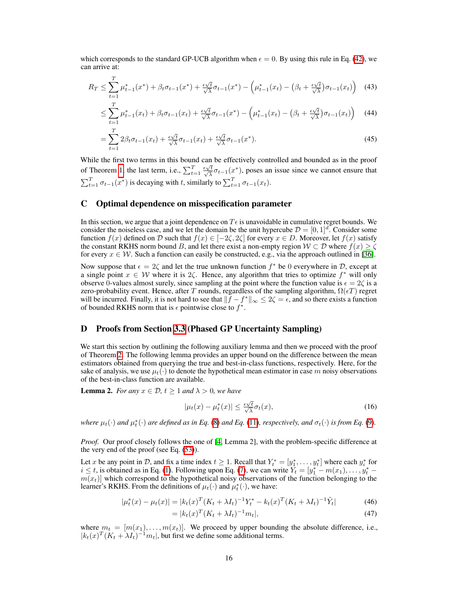which corresponds to the standard GP-UCB algorithm when  $\epsilon = 0$ . By using this rule in Eq. [\(42\)](#page-2-4), we can arrive at:

$$
R_T \le \sum_{t=1}^T \mu_{t-1}^*(x^*) + \beta_t \sigma_{t-1}(x^*) + \frac{\epsilon \sqrt{t}}{\sqrt{\lambda}} \sigma_{t-1}(x^*) - \left(\mu_{t-1}^*(x_t) - \left(\beta_t + \frac{\epsilon \sqrt{t}}{\sqrt{\lambda}}\right) \sigma_{t-1}(x_t)\right) \tag{43}
$$

$$
\leq \sum_{t=1}^{T} \mu_{t-1}^*(x_t) + \beta_t \sigma_{t-1}(x_t) + \frac{\epsilon \sqrt{t}}{\sqrt{\lambda}} \sigma_{t-1}(x^*) - \left(\mu_{t-1}^*(x_t) - \left(\beta_t + \frac{\epsilon \sqrt{t}}{\sqrt{\lambda}}\right) \sigma_{t-1}(x_t)\right) \tag{44}
$$

$$
=\sum_{t=1}^{T} 2\beta_t \sigma_{t-1}(x_t) + \frac{\epsilon \sqrt{t}}{\sqrt{\lambda}} \sigma_{t-1}(x_t) + \frac{\epsilon \sqrt{t}}{\sqrt{\lambda}} \sigma_{t-1}(x^*).
$$
\n(45)

While the first two terms in this bound can be effectively controlled and bounded as in the proof of Theorem  $\boxed{1}$ , the last term, i.e.,  $\sum_{t=1}^{T} \frac{\epsilon \sqrt{t}}{\sqrt{\lambda}} \sigma_{t-1}(x^*)$ , poses an issue since we cannot ensure that  $\sum_{t=1}^{T} \sigma_{t-1}(\overline{x^*})$  is decaying with *t*, similarly to  $\sum_{t=1}^{T} \sigma_{t-1}(x_t)$ .

### C Optimal dependence on misspecification parameter

In this section, we argue that a joint dependence on  $T\epsilon$  is unavoidable in cumulative regret bounds. We consider the noiseless case, and we let the domain be the unit hypercube  $\mathcal{D} = [0, 1]^d$ . Consider some function  $f(x)$  defined on *D* such that  $f(x) \in [-2\zeta, 2\zeta]$  for every  $x \in D$ . Moreover, let  $f(x)$  satisfy the constant RKHS norm bound *B*, and let there exist a non-empty region  $W \subset \mathcal{D}$  where  $f(x) \ge \zeta$ for every  $x \in \mathcal{W}$ . Such a function can easily be constructed, e.g., via the approach outlined in [\[36\]](#page-0-15).

Now suppose that  $\epsilon = 2\zeta$  and let the true unknown function  $f^*$  be 0 everywhere in  $\mathcal{D}$ , except at a single point  $x \in W$  where it is  $2\zeta$ . Hence, any algorithm that tries to optimize  $f^*$  will only observe 0-values almost surely, since sampling at the point where the function value is  $\epsilon = 2\zeta$  is a zero-probability event. Hence, after *T* rounds, regardless of the sampling algorithm,  $\Omega(\epsilon T)$  regret will be incurred. Finally, it is not hard to see that  $||f - f^*||_{\infty} \le 2\zeta = \epsilon$ , and so there exists a function of bounded RKHS norm that is  $\epsilon$  pointwise close to  $f^*$ .

## D Proofs from Section [3.3](#page-0-16) (Phased GP Uncertainty Sampling)

We start this section by outlining the following auxiliary lemma and then we proceed with the proof of Theorem  $\overline{2}$ . The following lemma provides an upper bound on the difference between the mean estimators obtained from querying the true and best-in-class functions, respectively. Here, for the sake of analysis, we use  $\mu_t(\cdot)$  to denote the hypothetical mean estimator in case m noisy observations of the best-in-class function are available.

**Lemma 2.** *For any*  $x \in \mathcal{D}$ ,  $t \geq 1$  *and*  $\lambda > 0$ *, we have* 

$$
|\mu_t(x) - \mu_t^*(x)| \le \frac{\epsilon \sqrt{t}}{\sqrt{\lambda}} \sigma_t(x), \tag{16}
$$

*where*  $\mu_t(\cdot)$  *and*  $\mu_t^*(\cdot)$  *are defined as in Eq.* [\(8\)](#page-0-2) *and Eq.* [\(11\)](#page-0-18)*, respectively, and*  $\sigma_t(\cdot)$  *is from Eq.* [\(9\)](#page-0-3)*.* 

*Proof.* Our proof closely follows the one of  $\left[\frac{1}{2}\right]$ . Lemma 2, with the problem-specific difference at the very end of the proof (see Eq.  $(53)$ ).

Let *x* be any point in *D*, and fix a time index  $t \ge 1$ . Recall that  $Y_t^* = [y_1^*, \ldots, y_t^*]$  where each  $y_i^*$  for  $i \leq t$ , is obtained as in Eq. [\(1\)](#page-0-20). Following upon Eq. [\(7\)](#page-0-21), we can write  $Y_t = [y^*_1 - m(x_1), \ldots, y^*_t$  $m(x_t)$  which correspond to the hypothetical noisy observations of the function belonging to the learner's RKHS. From the definitions of  $\mu_t(\cdot)$  and  $\mu_t^*(\cdot)$ , we have:

$$
|\mu_t^*(x) - \mu_t(x)| = |k_t(x)^T (K_t + \lambda I_t)^{-1} Y_t^* - k_t(x)^T (K_t + \lambda I_t)^{-1} \tilde{Y}_t|
$$
\n(46)

$$
= |k_t(x)^T (K_t + \lambda I_t)^{-1} m_t|,
$$
\n
$$
(47)
$$

where  $m_t = [m(x_1), \ldots, m(x_t)]$ . We proceed by upper bounding the absolute difference, i.e.,  $|k_t(x)^T (K_t + \lambda I_t)^{-1} m_t|$ , but first we define some additional terms.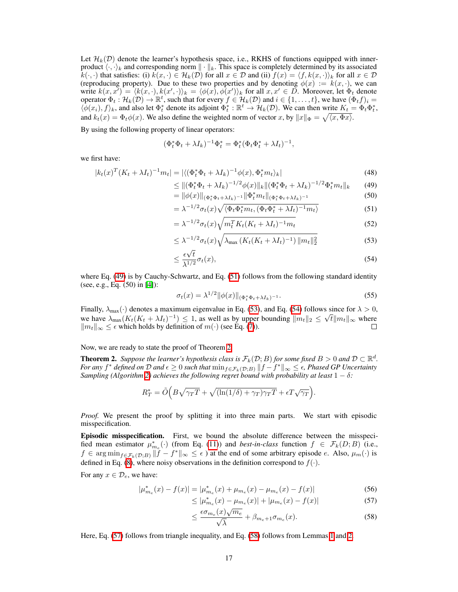Let  $\mathcal{H}_k(\mathcal{D})$  denote the learner's hypothesis space, i.e., RKHS of functions equipped with innerproduct  $\langle \cdot, \cdot \rangle_k$  and corresponding norm  $\|\cdot\|_k$ . This space is completely determined by its associated  $k(\cdot, \cdot)$  that satisfies: (i)  $k(x, \cdot) \in \mathcal{H}_k(\mathcal{D})$  for all  $x \in \mathcal{D}$  and (ii)  $f(x) = \langle f, k(x, \cdot) \rangle_k$  for all  $x \in \mathcal{D}$ (reproducing property). Due to these two properties and by denoting  $\phi(x) := k(x, \cdot)$ , we can write  $k(x, x') = \langle k(x, \cdot), k(x', \cdot) \rangle_k = \langle \phi(x), \phi(x') \rangle_k$  for all  $x, x' \in D$ . Moreover, let  $\Phi_t$  denote operator  $\Phi_t : \mathcal{H}_k(\mathcal{D}) \to \mathbb{R}^t$ , such that for every  $f \in \mathcal{H}_k(\mathcal{D})$  and  $i \in \{1, \ldots, t\}$ , we have  $(\Phi_t f)_i =$  $\langle \phi(x_i), f \rangle_k$ , and also let  $\Phi_t^*$  denote its adjoint  $\Phi_t^* : \mathbb{R}^t \to \mathcal{H}_k(\mathcal{D})$ . We can then write  $K_t = \Phi_t \Phi_t^*$ , and  $k_t(x) = \Phi_t \phi(x)$ . We also define the weighted norm of vector *x*, by  $||x||_{\Phi} = \sqrt{\langle x, \Phi x \rangle}$ .

By using the following property of linear operators:

$$
(\Phi_t^* \Phi_t + \lambda I_k)^{-1} \Phi_t^* = \Phi_t^* (\Phi_t \Phi_t^* + \lambda I_t)^{-1},
$$

we first have:

$$
|k_t(x)^T (K_t + \lambda I_t)^{-1} m_t| = |\langle (\Phi_t^* \Phi_t + \lambda I_k)^{-1} \phi(x), \Phi_t^* m_t \rangle_k|
$$
\n(48)

<span id="page-4-1"></span>
$$
\leq \|(\Phi_t^* \Phi_t + \lambda I_k)^{-1/2} \phi(x)\|_k \|(\Phi_t^* \Phi_t + \lambda I_k)^{-1/2} \Phi_t^* m_t\|_k \qquad (49)
$$

<span id="page-4-2"></span>
$$
= \|\phi(x)\|_{(\Phi_t^*\Phi_t + \lambda I_k)^{-1}} \|\Phi_t^* m_t\|_{(\Phi_t^*\Phi_t + \lambda I_k)^{-1}}
$$
(50)

$$
= \lambda^{-1/2} \sigma_t(x) \sqrt{\langle \Phi_t \Phi_t^* m_t, (\Phi_t \Phi_t^* + \lambda I_t)^{-1} m_t \rangle}
$$
(51)

$$
= \lambda^{-1/2} \sigma_t(x) \sqrt{m_t^T K_t (K_t + \lambda I_t)^{-1} m_t}
$$
\n(52)

<span id="page-4-0"></span>
$$
\leq \lambda^{-1/2} \sigma_t(x) \sqrt{\lambda_{\max} \left( K_t (K_t + \lambda I_t)^{-1} \right) \|m_t\|_2^2} \tag{53}
$$

<span id="page-4-3"></span>
$$
\leq \frac{\epsilon \sqrt{t}}{\lambda^{1/2}} \sigma_t(x),\tag{54}
$$

where Eq.  $(49)$  is by Cauchy-Schwartz, and Eq.  $(51)$  follows from the following standard identity (see, e.g.,  $Eq. (50)$  in  $[4]$ ):

$$
\sigma_t(x) = \lambda^{1/2} \|\phi(x)\|_{(\Phi_t^* \Phi_t + \lambda I_k)^{-1}}.
$$
\n(55)

Finally,  $\lambda_{\text{max}}(\cdot)$  denotes a maximum eigenvalue in Eq. [\(53\)](#page-4-0), and Eq. [\(54\)](#page-4-3) follows since for  $\lambda > 0$ , we have  $\lambda_{\max}(K_t(K_t + \lambda I_t)^{-1}) \leq 1$ , as well as by upper bounding  $||m_t||_2 \leq \sqrt{t}||m_t||_{\infty}$  where  $||m_t||_{\infty} \leq \epsilon$  which holds by definition of  $m(\cdot)$  (see Eq. (7)).  $\|m_t\|_{\infty} \leq \epsilon$  which holds by definition of  $m(\cdot)$  (see Eq. [\(7\)](#page-0-21)).

Now, we are ready to state the proof of Theorem  $\sqrt{2}$ .

**Theorem 2.** *Suppose the learner's hypothesis class is*  $\mathcal{F}_k(\mathcal{D}; B)$  *for some fixed*  $B > 0$  *and*  $\mathcal{D} \subset \mathbb{R}^d$ *. For any*  $f^*$  *defined on*  $D$  *and*  $\epsilon \geq 0$  *such that*  $\min_{f \in \mathcal{F}_k(D;B)} ||f - f^*||_{\infty} \leq \epsilon$ , Phased GP Uncertainty *Sampling (Algorithm* $\sqrt{2}$ ) *achieves the following regret bound with probability at least*  $1 - \delta$ :

$$
R_T^* = \tilde{O}\Big(B\sqrt{\gamma_T T} + \sqrt{(\ln(1/\delta) + \gamma_T)\gamma_T T} + \epsilon T \sqrt{\gamma_T}\Big).
$$

*Proof.* We present the proof by splitting it into three main parts. We start with episodic misspecification.

Episodic misspecification. First, we bound the absolute difference between the misspecified mean estimator  $\mu_{m_e}^*(\cdot)$  (from Eq. [\(11\)](#page-0-18)) and *best-in-class* function  $f \in \mathcal{F}_k(D;B)$  (i.e.,  $f \in \arg \min_{f \in \mathcal{F}_k(\mathcal{D}:B)} ||f - f^*||_{\infty} \leq \epsilon$  at the end of some arbitrary episode *e*. Also,  $\mu_m(\cdot)$  is defined in Eq. [\(8\)](#page-0-2), where noisy observations in the definition correspond to  $f(\cdot)$ .

For any  $x \in \mathcal{D}_e$ , we have:

$$
|\mu_{m_e}^*(x) - f(x)| = |\mu_{m_e}^*(x) + \mu_{m_e}(x) - \mu_{m_e}(x) - f(x)| \tag{56}
$$

$$
\leq |\mu_{m_e}^*(x) - \mu_{m_e}(x)| + |\mu_{m_e}(x) - f(x)| \tag{57}
$$

<span id="page-4-5"></span><span id="page-4-4"></span>
$$
\leq \frac{\epsilon \sigma_{m_e}(x)\sqrt{m_e}}{\sqrt{\lambda}} + \beta_{m_e+1} \sigma_{m_e}(x). \tag{58}
$$

Here, Eq. [\(57\)](#page-4-4) follows from triangle inequality, and Eq. [\(58\)](#page-4-5) follows from Lemmas  $\Pi$  and  $\Pi$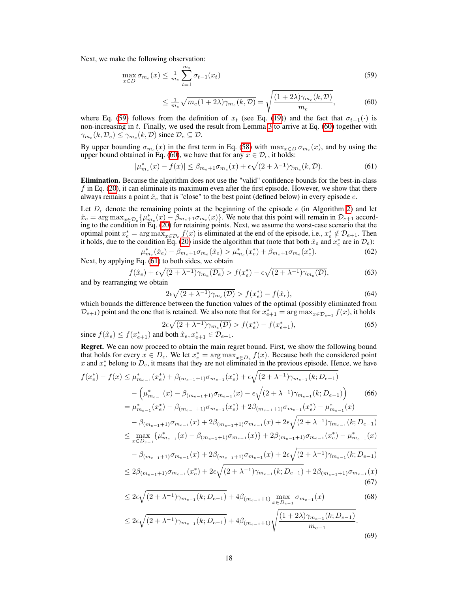Next, we make the following observation:

$$
\max_{x \in D} \sigma_{m_e}(x) \le \frac{1}{m_e} \sum_{t=1}^{m_e} \sigma_{t-1}(x_t)
$$
\n(59)

<span id="page-5-2"></span><span id="page-5-1"></span><span id="page-5-0"></span>
$$
\leq \frac{1}{m_e} \sqrt{m_e (1 + 2\lambda) \gamma_{m_e}(k, \mathcal{D})} = \sqrt{\frac{(1 + 2\lambda) \gamma_{m_e}(k, \mathcal{D})}{m_e}},\tag{60}
$$

where Eq. [\(59\)](#page-5-0) follows from the definition of  $x_t$  (see Eq. [\(19\)](#page-0-23)) and the fact that  $\sigma_{t-1}(\cdot)$  is non-increasing in *t*. Finally, we used the result from Lemma  $\overline{3}$  to arrive at Eq. [\(60\)](#page-5-1) together with  $\gamma_{m_e}(k, \mathcal{D}_e) \leq \gamma_{m_e}(k, \mathcal{D})$  since  $\mathcal{D}_e \subseteq \mathcal{D}$ .

By upper bounding  $\sigma_{m_e}(x)$  in the first term in Eq. [\(58\)](#page-4-5) with  $\max_{x \in D} \sigma_{m_e}(x)$ , and by using the upper bound obtained in Eq. [\(60\)](#page-5-1), we have that for any  $x \in \mathcal{D}_e$ , it holds:

$$
|\mu_{m_e}^*(x) - f(x)| \le \beta_{m_e+1} \sigma_{m_e}(x) + \epsilon \sqrt{(2+\lambda^{-1}) \gamma_{m_e}(k, \mathcal{D})}.
$$
 (61)

Elimination. Because the algorithm does not use the "valid" confidence bounds for the best-in-class *f* in Eq. [\(20\)](#page-0-24), it can eliminate its maximum even after the first episode. However, we show that there always remains a point  $\hat{x}_e$  that is "close" to the best point (defined below) in every episode  $e$ .

Let  $D_e$  denote the remaining points at the beginning of the episode  $e$  (in Algorithm  $\boxed{2}$ ) and let  $\hat{x}_e = \arg \max_{x \in \mathcal{D}_e} \{ \mu_{m_e}^*(x) - \beta_{m_e+1} \sigma_{m_e}(x) \}.$  We note that this point will remain in  $\mathcal{D}_{e+1}$  according to the condition in Eq. [\(20\)](#page-0-24) for retaining points. Next, we assume the worst-case scenario that the optimal point  $x_e^* = \arg \max_{x \in \mathcal{D}_e} f(x)$  is eliminated at the end of the episode, i.e.,  $x_e^* \notin \mathcal{D}_{e+1}$ . Then it holds, due to the condition Eq. [\(20\)](#page-0-24) inside the algorithm that (note that both  $\hat{x}_e$  and  $x_e^*$  are in  $\mathcal{D}_e$ ):

$$
\mu_{m_e}^*(\hat{x}_e) - \beta_{m_e+1}\sigma_{m_e}(\hat{x}_e) > \mu_{m_e}^*(x_e^*) + \beta_{m_e+1}\sigma_{m_e}(x_e^*). \tag{62}
$$

Next, by applying Eq. [\(61\)](#page-5-2) to both sides, we obtain

$$
f(\hat{x}_e) + \epsilon \sqrt{(2 + \lambda^{-1}) \gamma_{m_e}(\mathcal{D}_e)} > f(x_e^*) - \epsilon \sqrt{(2 + \lambda^{-1}) \gamma_{m_e}(\mathcal{D})},
$$
(63)

and by rearranging we obtain

<span id="page-5-6"></span>
$$
2\epsilon\sqrt{(2+\lambda^{-1})\gamma_{m_e}(\mathcal{D})} > f(x_e^*) - f(\hat{x}_e),\tag{64}
$$

which bounds the difference between the function values of the optimal (possibly eliminated from  $D_{e+1}$ ) point and the one that is retained. We also note that for  $x_{e+1}^* = \arg \max_{x \in D_{e+1}} f(x)$ , it holds

<span id="page-5-3"></span>
$$
2\epsilon\sqrt{(2+\lambda^{-1})\gamma_{m_e}(\mathcal{D})} > f(x_e^*) - f(x_{e+1}^*),
$$
\nd both  $\hat{x}$   $x^*$ ,  $\in \mathcal{D}$ ,  $\exists$ 

since  $f(\hat{x}_e) \le f(x_{e+1}^*)$  and both  $\hat{x}_e, x_{e+1}^* \in \mathcal{D}_{e+1}$ .

Regret. We can now proceed to obtain the main regret bound. First, we show the following bound that holds for every  $x \in D_e$ . We let  $x_e^* = \arg \max_{x \in D_e} f(x)$ . Because both the considered point *x* and  $x_e^*$  belong to  $D_e$ , it means that they are not eliminated in the previous episode. Hence, we have

$$
f(x_e^*) - f(x) \le \mu_{m_{e-1}}^*(x_e^*) + \beta_{(m_{e-1}+1)}\sigma_{m_{e-1}}(x_e^*) + \epsilon \sqrt{(2+\lambda^{-1})\gamma_{m_{e-1}}(k; D_{e-1})}
$$
  

$$
- \left(\mu_{m_{e-1}}^*(x) - \beta_{(m_{e-1}+1)}\sigma_{m_{e-1}}(x) - \epsilon \sqrt{(2+\lambda^{-1})\gamma_{m_{e-1}}(k; D_{e-1})}\right)
$$
  

$$
= \mu_{m_{e-1}}^*(x_e^*) - \beta_{(m_{e-1}+1)}\sigma_{m_{e-1}}(x_e^*) + 2\beta_{(m_{e-1}+1)}\sigma_{m_{e-1}}(x_e^*) - \mu_{m_{e-1}}^*(x)
$$
 (66)

$$
- \beta_{(m_{e-1}+1)} \sigma_{m_{e-1}}(x) + 2\beta_{(m_{e-1}+1)} \sigma_{m_{e-1}}(x) + 2\epsilon \sqrt{(2+\lambda^{-1})\gamma_{m_{e-1}}(k; D_{e-1})}
$$
  
\n
$$
\leq \max_{x \in D_{e-1}} \{\mu_{m_{e-1}}^*(x) - \beta_{(m_{e-1}+1)} \sigma_{m_{e-1}}(x)\} + 2\beta_{(m_{e-1}+1)} \sigma_{m_{e-1}}(x_e^*) - \mu_{m_{e-1}}^*(x)
$$
  
\n
$$
- \beta_{(m_{e-1}+1)} \sigma_{m_{e-1}}(x) + 2\beta_{(m_{e-1}+1)} \sigma_{m_{e-1}}(x) + 2\epsilon \sqrt{(2+\lambda^{-1})\gamma_{m_{e-1}}(k; D_{e-1})}
$$
  
\n
$$
\leq 2\beta_{(m_{e-1}+1)} \sigma_{m_{e-1}}(x_e^*) + 2\epsilon \sqrt{(2+\lambda^{-1})\gamma_{m_{e-1}}(k; D_{e-1})} + 2\beta_{(m_{e-1}+1)} \sigma_{m_{e-1}}(x)
$$
  
\n(67)

<span id="page-5-4"></span>
$$
\leq 2\epsilon \sqrt{(2+\lambda^{-1})\gamma_{m_{e-1}}(k;D_{e-1})} + 4\beta_{(m_{e-1}+1)} \max_{x \in D_{e-1}} \sigma_{m_{e-1}}(x) \tag{68}
$$

<span id="page-5-5"></span>
$$
\leq 2\epsilon \sqrt{(2+\lambda^{-1})\gamma_{m_{e-1}}(k;D_{e-1})} + 4\beta_{(m_{e-1}+1)}\sqrt{\frac{(1+2\lambda)\gamma_{m_{e-1}}(k;D_{e-1})}{m_{e-1}}}.
$$
\n(69)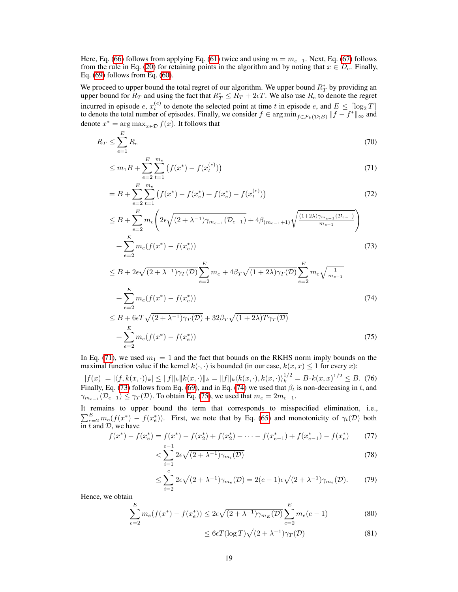Here, Eq. [\(66\)](#page-5-3) follows from applying Eq. [\(61\)](#page-5-2) twice and using  $m = m_{e-1}$ . Next, Eq. [\(67\)](#page-5-4) follows from the rule in Eq. [\(20\)](#page-0-24) for retaining points in the algorithm and by noting that  $x \in \overline{D_e}$ . Finally, Eq.  $(69)$  follows from Eq.  $(60)$ .

We proceed to upper bound the total regret of our algorithm. We upper bound  $R_T^*$  by providing an upper bound for  $R_T$  and using the fact that  $R_T^* \leq R_T + 2\epsilon T$ . We also use  $R_e$  to denote the regret incurred in episode *e*,  $x_t^{(e)}$  to denote the selected point at time *t* in episode *e*, and  $E \leq \left[\log_2 T\right]$ to denote the total number of episodes. Finally, we consider  $f \in \arg \min_{f \in \mathcal{F}_k(\mathcal{D};B)} ||f - f^*||_{\infty}$  and denote  $x^* = \arg \max_{x \in \mathcal{D}} f(x)$ . It follows that

$$
R_T \le \sum_{e=1}^{E} R_e \tag{70}
$$

<span id="page-6-0"></span>
$$
\leq m_1 B + \sum_{e=2}^{E} \sum_{t=1}^{m_e} \left( f(x^*) - f(x_t^{(e)}) \right) \tag{71}
$$

$$
= B + \sum_{e=2}^{E} \sum_{t=1}^{m_e} \left( f(x^*) - f(x_e^*) + f(x_e^*) - f(x_t^{(e)}) \right)
$$
(72)

$$
\leq B + \sum_{e=2}^{E} m_e \left( 2\epsilon \sqrt{(2 + \lambda^{-1}) \gamma_{m_{e-1}}(\mathcal{D}_{e-1})} + 4\beta_{(m_{e-1}+1)} \sqrt{\frac{(1+2\lambda)\gamma_{m_{e-1}}(\mathcal{D}_{e-1})}{m_{e-1}}} \right) + \sum_{e=2}^{E} m_e (f(x^*) - f(x_e^*))
$$
\n(73)

<span id="page-6-1"></span>
$$
e=2
$$
\n
$$
\leq B + 2\epsilon\sqrt{(2+\lambda^{-1})\gamma_T(\mathcal{D})} \sum_{e=2}^{E} m_e + 4\beta_T\sqrt{(1+2\lambda)\gamma_T(\mathcal{D})} \sum_{e=2}^{E} m_e \sqrt{\frac{1}{m_{e-1}}} + \sum_{e=2}^{E} m_e (f(x^*) - f(x_e^*))
$$
\n
$$
\leq B + 6\epsilon T \sqrt{(2+\lambda^{-1})\gamma_T(\mathcal{D})} + 32\beta_{\text{max}} \sqrt{(1+2\lambda)T\gamma_{\text{min}}(\mathcal{D})}
$$
\n(74)

<span id="page-6-2"></span>
$$
\leq B + 6\epsilon T \sqrt{(2 + \lambda^{-1})\gamma_T(\mathcal{D})} + 32\beta_T \sqrt{(1 + 2\lambda)T\gamma_T(\mathcal{D})}
$$

$$
+ \sum_{e=2}^{E} m_e(f(x^*) - f(x_e^*))
$$
(75)

In Eq.  $(71)$ , we used  $m_1 = 1$  and the fact that bounds on the RKHS norm imply bounds on the maximal function value if the kernel  $k(\cdot, \cdot)$  is bounded (in our case,  $k(x, x) \leq 1$  for every *x*):

 $|f(x)| = |\langle f, k(x, \cdot) \rangle_k| \le ||f||_k ||k(x, \cdot)||_k = ||f||_k \langle k(x, \cdot), k(x, \cdot) \rangle_k^{1/2} = B \cdot k(x, x)^{1/2} \le B.$  (76) Finally, Eq. [\(73\)](#page-6-1) follows from Eq. [\(69\)](#page-5-5), and in Eq. [\(74\)](#page-6-2) we used that  $\beta_t$  is non-decreasing in *t*, and  $\gamma_{m_{e-1}}(\mathcal{D}_{e-1}) \leq \gamma_T(\mathcal{D})$ . To obtain Eq. [\(75\)](#page-6-3), we used that  $m_e = 2m_{e-1}$ .

It remains to upper bound the term that corresponds to misspecified elimination, i.e.,  $\sum_{e=2}^{E} m_e(f(x^*) - f(x_e^*))$ . First, we note that by Eq. [\(65\)](#page-5-6) and monotonicity of  $\gamma_t(\mathcal{D})$  both in *t* and *D*, we have

$$
f(x^*) - f(x_e^*) = f(x^*) - f(x_2^*) + f(x_2^*) - \dots - f(x_{e-1}^*) + f(x_{e-1}^*) - f(x_e^*)
$$
 (77)

<span id="page-6-3"></span>
$$
\langle \sum_{i=1}^{e-1} 2\epsilon \sqrt{(2+\lambda^{-1})\gamma_{m_i}(\mathcal{D})} \tag{78}
$$

$$
\leq \sum_{i=2}^{e} 2\epsilon \sqrt{(2+\lambda^{-1})\gamma_{m_e}(\mathcal{D})} = 2(e-1)\epsilon \sqrt{(2+\lambda^{-1})\gamma_{m_e}(\mathcal{D})}.
$$
 (79)

Hence, we obtain

$$
\sum_{e=2}^{E} m_e(f(x^*) - f(x_e^*)) \le 2\epsilon \sqrt{(2 + \lambda^{-1})\gamma_{m_E}(D)} \sum_{e=2}^{E} m_e(e-1)
$$
 (80)

<span id="page-6-4"></span>
$$
\leq 6\epsilon T(\log T)\sqrt{(2+\lambda^{-1})\gamma_T(\mathcal{D})}
$$
\n(81)